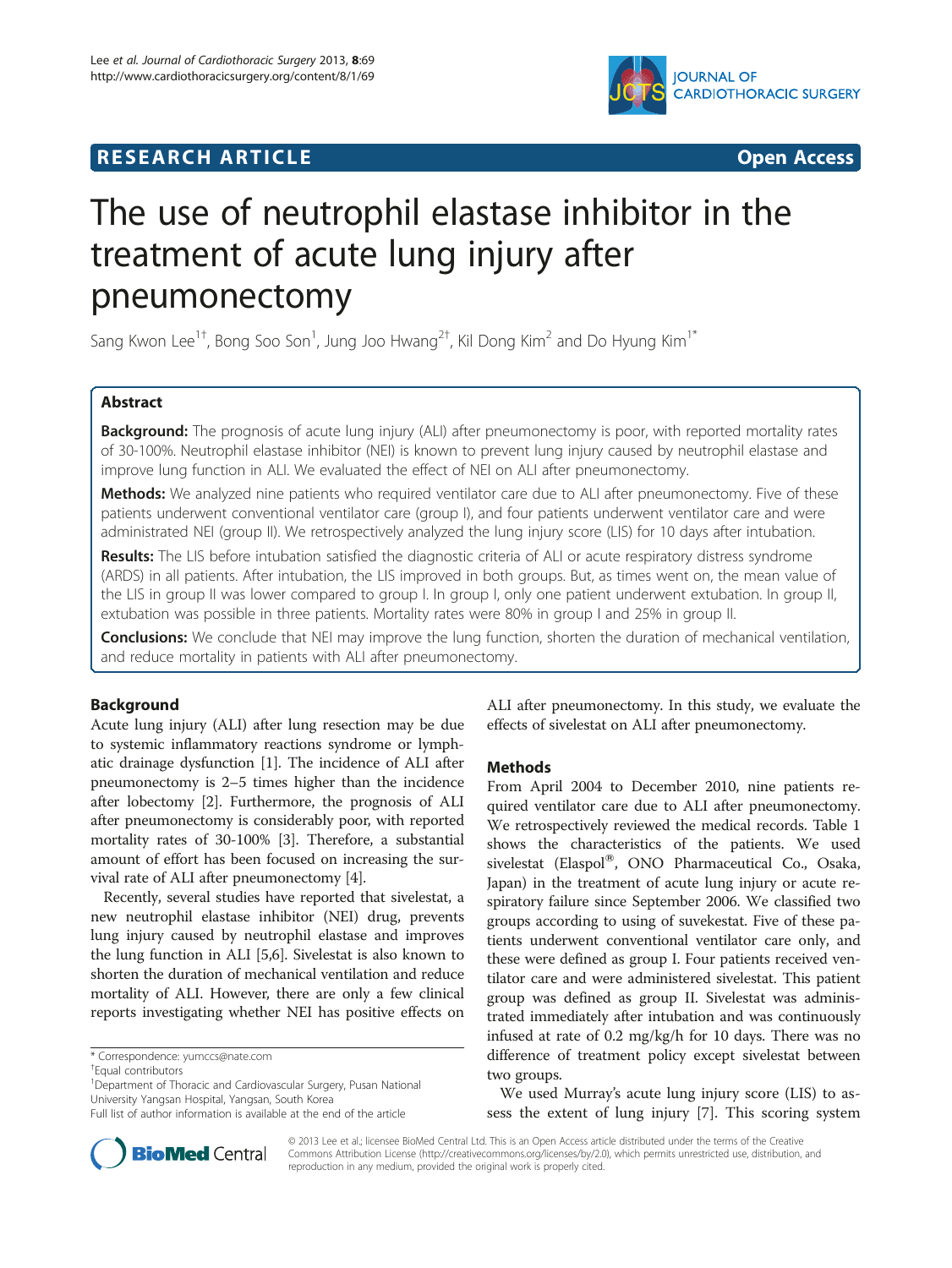



# The use of neutrophil elastase inhibitor in the treatment of acute lung injury after pneumonectomy

Sang Kwon Lee<sup>1†</sup>, Bong Soo Son<sup>1</sup>, Jung Joo Hwang<sup>2†</sup>, Kil Dong Kim<sup>2</sup> and Do Hyung Kim<sup>1\*</sup>

# Abstract

Background: The prognosis of acute lung injury (ALI) after pneumonectomy is poor, with reported mortality rates of 30-100%. Neutrophil elastase inhibitor (NEI) is known to prevent lung injury caused by neutrophil elastase and improve lung function in ALI. We evaluated the effect of NEI on ALI after pneumonectomy.

Methods: We analyzed nine patients who required ventilator care due to ALI after pneumonectomy. Five of these patients underwent conventional ventilator care (group I), and four patients underwent ventilator care and were administrated NEI (group II). We retrospectively analyzed the lung injury score (LIS) for 10 days after intubation.

Results: The LIS before intubation satisfied the diagnostic criteria of ALI or acute respiratory distress syndrome (ARDS) in all patients. After intubation, the LIS improved in both groups. But, as times went on, the mean value of the LIS in group II was lower compared to group I. In group I, only one patient underwent extubation. In group II, extubation was possible in three patients. Mortality rates were 80% in group I and 25% in group II.

Conclusions: We conclude that NEI may improve the lung function, shorten the duration of mechanical ventilation, and reduce mortality in patients with ALI after pneumonectomy.

# Background

Acute lung injury (ALI) after lung resection may be due to systemic inflammatory reactions syndrome or lymphatic drainage dysfunction [\[1](#page-3-0)]. The incidence of ALI after pneumonectomy is 2–5 times higher than the incidence after lobectomy [\[2\]](#page-3-0). Furthermore, the prognosis of ALI after pneumonectomy is considerably poor, with reported mortality rates of 30-100% [\[3\]](#page-3-0). Therefore, a substantial amount of effort has been focused on increasing the survival rate of ALI after pneumonectomy [\[4](#page-3-0)].

Recently, several studies have reported that sivelestat, a new neutrophil elastase inhibitor (NEI) drug, prevents lung injury caused by neutrophil elastase and improves the lung function in ALI [\[5,6](#page-3-0)]. Sivelestat is also known to shorten the duration of mechanical ventilation and reduce mortality of ALI. However, there are only a few clinical reports investigating whether NEI has positive effects on

<sup>1</sup> Department of Thoracic and Cardiovascular Surgery, Pusan National University Yangsan Hospital, Yangsan, South Korea

ALI after pneumonectomy. In this study, we evaluate the effects of sivelestat on ALI after pneumonectomy.

# **Methods**

From April 2004 to December 2010, nine patients required ventilator care due to ALI after pneumonectomy. We retrospectively reviewed the medical records. Table [1](#page-1-0) shows the characteristics of the patients. We used sivelestat (Elaspol®, ONO Pharmaceutical Co., Osaka, Japan) in the treatment of acute lung injury or acute respiratory failure since September 2006. We classified two groups according to using of suvekestat. Five of these patients underwent conventional ventilator care only, and these were defined as group I. Four patients received ventilator care and were administered sivelestat. This patient group was defined as group II. Sivelestat was administrated immediately after intubation and was continuously infused at rate of 0.2 mg/kg/h for 10 days. There was no difference of treatment policy except sivelestat between two groups.

We used Murray's acute lung injury score (LIS) to assess the extent of lung injury [\[7](#page-3-0)]. This scoring system



© 2013 Lee et al.; licensee BioMed Central Ltd. This is an Open Access article distributed under the terms of the Creative Commons Attribution License [\(http://creativecommons.org/licenses/by/2.0\)](http://creativecommons.org/licenses/by/2.0), which permits unrestricted use, distribution, and reproduction in any medium, provided the original work is properly cited.

<sup>\*</sup> Correspondence: [yumccs@nate.com](mailto:yumccs@nate.com) †

Equal contributors

Full list of author information is available at the end of the article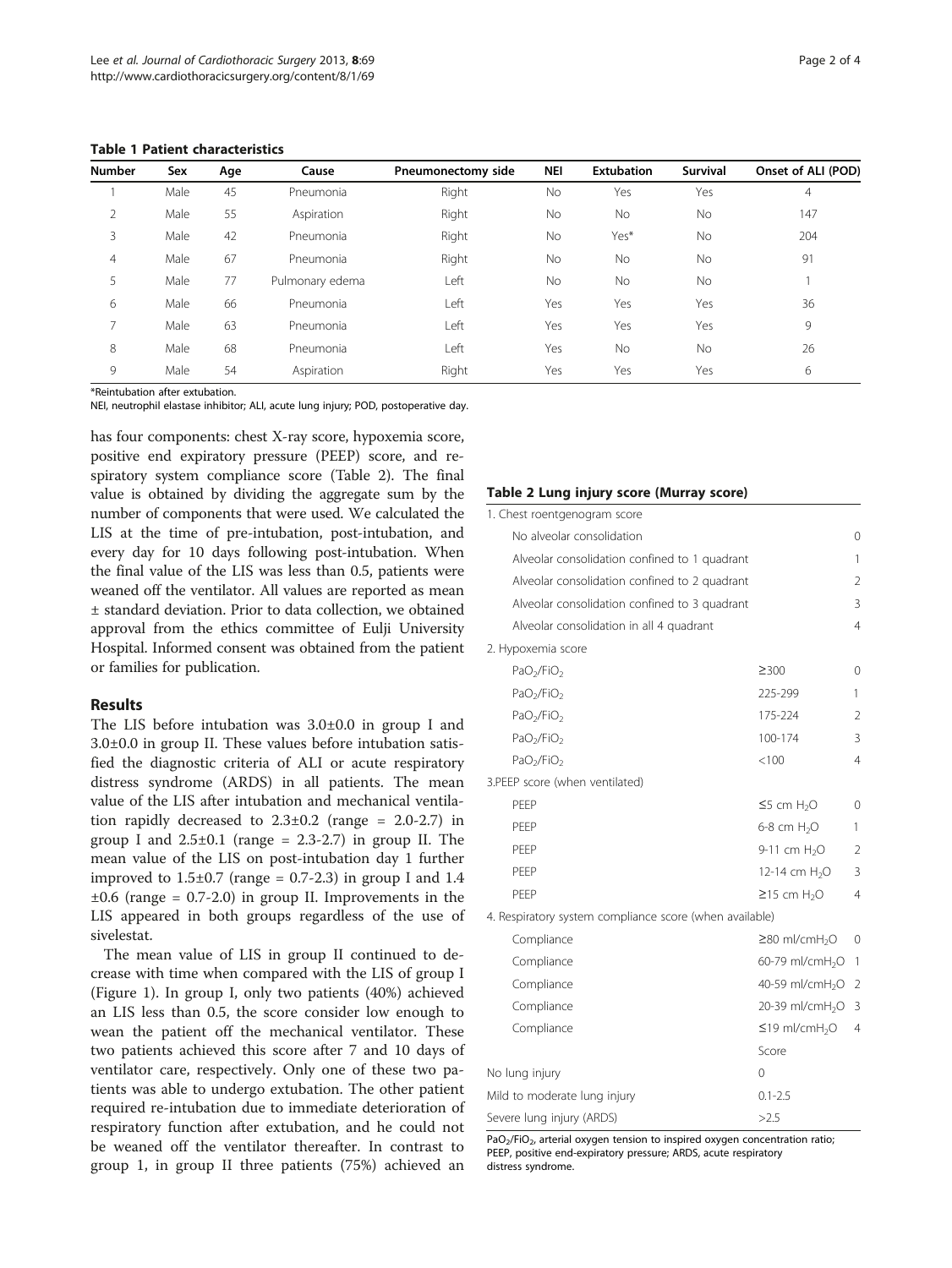<span id="page-1-0"></span>Table 1 Patient characteristics

| <b>Number</b>  | Sex  | Age | Cause           | Pneumonectomy side | <b>NEI</b> | <b>Extubation</b> | <b>Survival</b> | Onset of ALI (POD) |
|----------------|------|-----|-----------------|--------------------|------------|-------------------|-----------------|--------------------|
|                | Male | 45  | Pneumonia       | Right              | No         | Yes               | Yes             | $\overline{4}$     |
| $\overline{2}$ | Male | 55  | Aspiration      | Right              | No         | No                | No              | 147                |
| 3              | Male | 42  | Pneumonia       | Right              | <b>No</b>  | Yes*              | <b>No</b>       | 204                |
| $\overline{4}$ | Male | 67  | Pneumonia       | Right              | No         | No                | <b>No</b>       | 91                 |
| 5              | Male | 77  | Pulmonary edema | Left               | <b>No</b>  | No                | No.             |                    |
| 6              | Male | 66  | Pneumonia       | Left               | Yes        | Yes               | Yes             | 36                 |
| 7              | Male | 63  | Pneumonia       | Left               | Yes        | Yes               | Yes             | 9                  |
| 8              | Male | 68  | Pneumonia       | Left               | Yes        | <b>No</b>         | No.             | 26                 |
| 9              | Male | 54  | Aspiration      | Right              | Yes        | Yes               | Yes             | 6                  |

\*Reintubation after extubation.

NEI, neutrophil elastase inhibitor; ALI, acute lung injury; POD, postoperative day.

has four components: chest X-ray score, hypoxemia score, positive end expiratory pressure (PEEP) score, and respiratory system compliance score (Table 2). The final value is obtained by dividing the aggregate sum by the number of components that were used. We calculated the LIS at the time of pre-intubation, post-intubation, and every day for 10 days following post-intubation. When the final value of the LIS was less than 0.5, patients were weaned off the ventilator. All values are reported as mean ± standard deviation. Prior to data collection, we obtained approval from the ethics committee of Eulji University Hospital. Informed consent was obtained from the patient or families for publication.

#### Results

The LIS before intubation was 3.0±0.0 in group I and 3.0±0.0 in group II. These values before intubation satisfied the diagnostic criteria of ALI or acute respiratory distress syndrome (ARDS) in all patients. The mean value of the LIS after intubation and mechanical ventilation rapidly decreased to  $2.3\pm0.2$  (range = 2.0-2.7) in group I and  $2.5\pm0.1$  (range = 2.3-2.7) in group II. The mean value of the LIS on post-intubation day 1 further improved to  $1.5\pm0.7$  (range = 0.7-2.3) in group I and 1.4  $\pm 0.6$  (range = 0.7-2.0) in group II. Improvements in the LIS appeared in both groups regardless of the use of sivelestat.

The mean value of LIS in group II continued to decrease with time when compared with the LIS of group I (Figure [1](#page-2-0)). In group I, only two patients (40%) achieved an LIS less than 0.5, the score consider low enough to wean the patient off the mechanical ventilator. These two patients achieved this score after 7 and 10 days of ventilator care, respectively. Only one of these two patients was able to undergo extubation. The other patient required re-intubation due to immediate deterioration of respiratory function after extubation, and he could not be weaned off the ventilator thereafter. In contrast to group 1, in group II three patients (75%) achieved an

## Table 2 Lung injury score (Murray score)

| 1. Chest roentgenogram score                            |                                 |                |  |  |  |
|---------------------------------------------------------|---------------------------------|----------------|--|--|--|
| No alveolar consolidation                               |                                 | $\Omega$       |  |  |  |
| Alveolar consolidation confined to 1 quadrant           |                                 | 1              |  |  |  |
| Alveolar consolidation confined to 2 quadrant           |                                 |                |  |  |  |
| Alveolar consolidation confined to 3 quadrant           |                                 |                |  |  |  |
| Alveolar consolidation in all 4 quadrant                |                                 | $\overline{4}$ |  |  |  |
| 2. Hypoxemia score                                      |                                 |                |  |  |  |
| PaO <sub>2</sub> /FiO <sub>2</sub>                      | $\geq$ 300                      | $\Omega$       |  |  |  |
| PaO <sub>2</sub> /FiO <sub>2</sub>                      | 225-299                         | 1              |  |  |  |
| PaO <sub>2</sub> /FiO <sub>2</sub>                      | 175-224                         | 2              |  |  |  |
| PaO <sub>2</sub> /FiO <sub>2</sub>                      | 100-174                         | 3              |  |  |  |
| PaO <sub>2</sub> /FiO <sub>2</sub>                      | < 100                           | $\overline{4}$ |  |  |  |
| 3.PEEP score (when ventilated)                          |                                 |                |  |  |  |
| PEEP                                                    | $\leq$ 5 cm H <sub>2</sub> O    | 0              |  |  |  |
| PEEP                                                    | $6-8$ cm $H2O$                  | 1              |  |  |  |
| PEEP                                                    | 9-11 cm H <sub>2</sub> O        | 2              |  |  |  |
| PEEP                                                    | 12-14 cm $H_2O$                 | 3              |  |  |  |
| PFFP                                                    | $≥15$ cm H <sub>2</sub> O       | 4              |  |  |  |
| 4. Respiratory system compliance score (when available) |                                 |                |  |  |  |
| Compliance                                              | $\geq$ 80 ml/cmH <sub>2</sub> O | 0              |  |  |  |
| Compliance                                              | 60-79 ml/cmH <sub>2</sub> O 1   |                |  |  |  |
| Compliance                                              | 40-59 ml/cmH <sub>2</sub> O 2   |                |  |  |  |
| Compliance                                              | 20-39 ml/cmH <sub>2</sub> O 3   |                |  |  |  |
| Compliance                                              | ≤19 ml/cmH <sub>2</sub> O       | $\overline{4}$ |  |  |  |
|                                                         | Score                           |                |  |  |  |
| No lung injury                                          | 0                               |                |  |  |  |
| Mild to moderate lung injury                            | $0.1 - 2.5$                     |                |  |  |  |
| Severe lung injury (ARDS)                               | >2.5                            |                |  |  |  |

PaO<sub>2</sub>/FiO<sub>2</sub>, arterial oxygen tension to inspired oxygen concentration ratio; PEEP, positive end-expiratory pressure; ARDS, acute respiratory distress syndrome.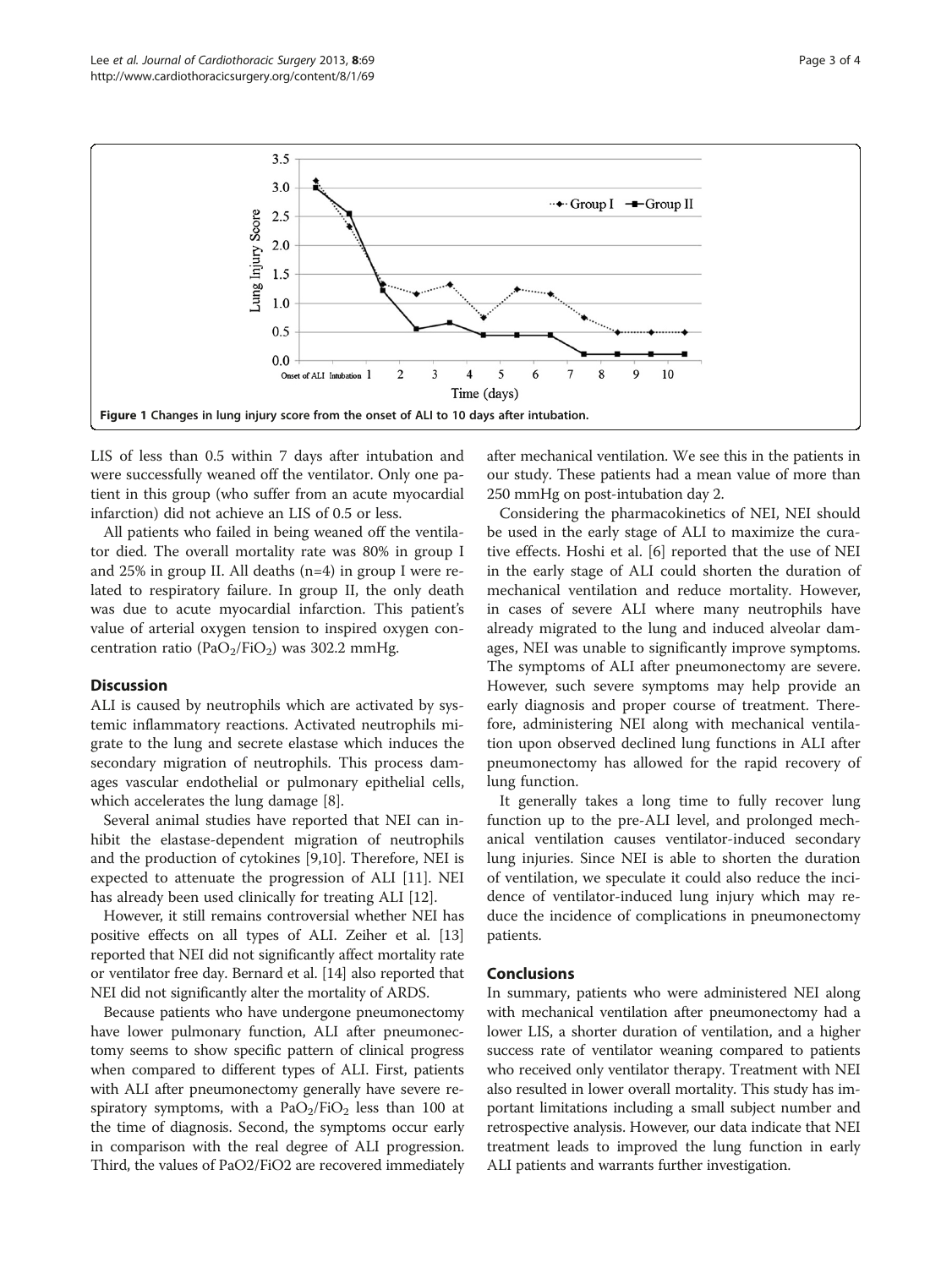<span id="page-2-0"></span>

LIS of less than 0.5 within 7 days after intubation and were successfully weaned off the ventilator. Only one patient in this group (who suffer from an acute myocardial infarction) did not achieve an LIS of 0.5 or less.

All patients who failed in being weaned off the ventilator died. The overall mortality rate was 80% in group I and 25% in group II. All deaths (n=4) in group I were related to respiratory failure. In group II, the only death was due to acute myocardial infarction. This patient's value of arterial oxygen tension to inspired oxygen concentration ratio (PaO<sub>2</sub>/FiO<sub>2</sub>) was 302.2 mmHg.

## **Discussion**

ALI is caused by neutrophils which are activated by systemic inflammatory reactions. Activated neutrophils migrate to the lung and secrete elastase which induces the secondary migration of neutrophils. This process damages vascular endothelial or pulmonary epithelial cells, which accelerates the lung damage [\[8](#page-3-0)].

Several animal studies have reported that NEI can inhibit the elastase-dependent migration of neutrophils and the production of cytokines [\[9,10](#page-3-0)]. Therefore, NEI is expected to attenuate the progression of ALI [[11\]](#page-3-0). NEI has already been used clinically for treating ALI [[12\]](#page-3-0).

However, it still remains controversial whether NEI has positive effects on all types of ALI. Zeiher et al. [[13](#page-3-0)] reported that NEI did not significantly affect mortality rate or ventilator free day. Bernard et al. [\[14](#page-3-0)] also reported that NEI did not significantly alter the mortality of ARDS.

Because patients who have undergone pneumonectomy have lower pulmonary function, ALI after pneumonectomy seems to show specific pattern of clinical progress when compared to different types of ALI. First, patients with ALI after pneumonectomy generally have severe respiratory symptoms, with a  $PaO<sub>2</sub>/FiO<sub>2</sub>$  less than 100 at the time of diagnosis. Second, the symptoms occur early in comparison with the real degree of ALI progression. Third, the values of PaO2/FiO2 are recovered immediately after mechanical ventilation. We see this in the patients in our study. These patients had a mean value of more than 250 mmHg on post-intubation day 2.

Considering the pharmacokinetics of NEI, NEI should be used in the early stage of ALI to maximize the curative effects. Hoshi et al. [[6\]](#page-3-0) reported that the use of NEI in the early stage of ALI could shorten the duration of mechanical ventilation and reduce mortality. However, in cases of severe ALI where many neutrophils have already migrated to the lung and induced alveolar damages, NEI was unable to significantly improve symptoms. The symptoms of ALI after pneumonectomy are severe. However, such severe symptoms may help provide an early diagnosis and proper course of treatment. Therefore, administering NEI along with mechanical ventilation upon observed declined lung functions in ALI after pneumonectomy has allowed for the rapid recovery of lung function.

It generally takes a long time to fully recover lung function up to the pre-ALI level, and prolonged mechanical ventilation causes ventilator-induced secondary lung injuries. Since NEI is able to shorten the duration of ventilation, we speculate it could also reduce the incidence of ventilator-induced lung injury which may reduce the incidence of complications in pneumonectomy patients.

## Conclusions

In summary, patients who were administered NEI along with mechanical ventilation after pneumonectomy had a lower LIS, a shorter duration of ventilation, and a higher success rate of ventilator weaning compared to patients who received only ventilator therapy. Treatment with NEI also resulted in lower overall mortality. This study has important limitations including a small subject number and retrospective analysis. However, our data indicate that NEI treatment leads to improved the lung function in early ALI patients and warrants further investigation.